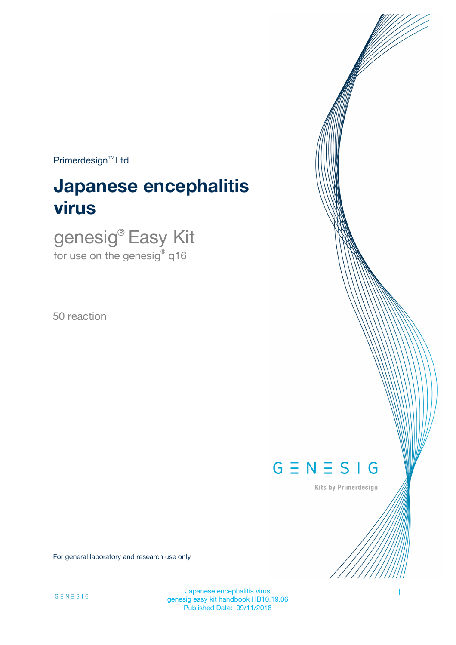$Primerdesign^{TM}$ Ltd

# **Japanese encephalitis virus**

genesig® Easy Kit for use on the genesig $^\circ$  q16

50 reaction



Kits by Primerdesign

For general laboratory and research use only

Japanese encephalitis virus 1 genesig easy kit handbook HB10.19.06 Published Date: 09/11/2018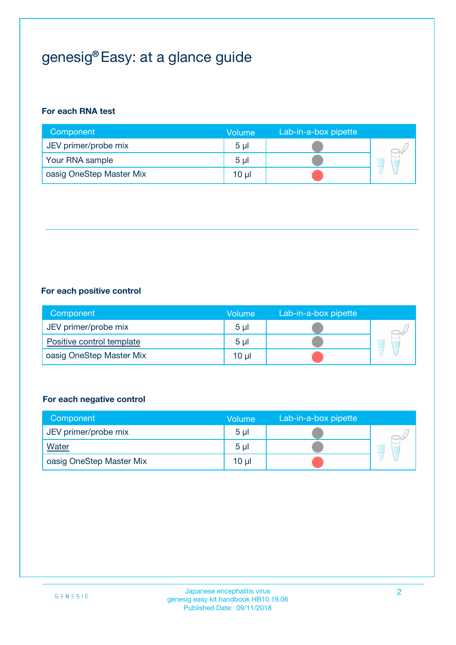## genesig® Easy: at a glance guide

#### **For each RNA test**

| Component                | <b>Volume</b>  | Lab-in-a-box pipette |  |
|--------------------------|----------------|----------------------|--|
| JEV primer/probe mix     | 5 <sub>µ</sub> |                      |  |
| Your RNA sample          | 5 <sub>µ</sub> |                      |  |
| oasig OneStep Master Mix | 10 µl          |                      |  |

#### **For each positive control**

| Component                 | Volume         | Lab-in-a-box pipette |  |
|---------------------------|----------------|----------------------|--|
| JEV primer/probe mix      | 5 <sub>µ</sub> |                      |  |
| Positive control template | 5 <sub>µ</sub> |                      |  |
| oasig OneStep Master Mix  | 10 µl          |                      |  |

#### **For each negative control**

| Component                | <b>Volume</b>  | Lab-in-a-box pipette |   |
|--------------------------|----------------|----------------------|---|
| JEV primer/probe mix     | 5 <sub>µ</sub> |                      |   |
| <b>Water</b>             | 5 <sub>µ</sub> |                      | Ē |
| oasig OneStep Master Mix | $10 \mu$       |                      |   |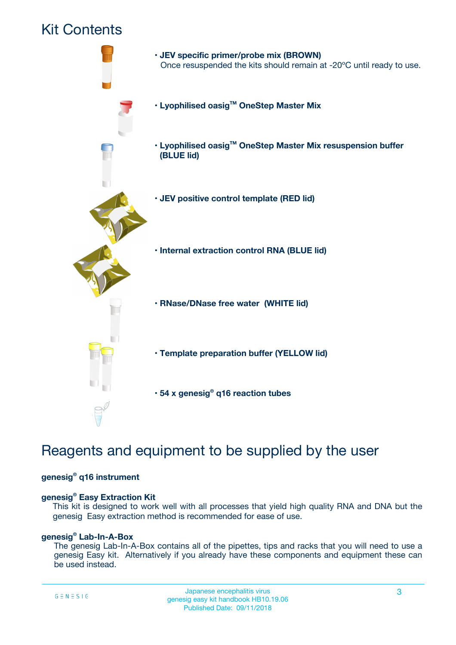### Kit Contents



## Reagents and equipment to be supplied by the user

#### **genesig® q16 instrument**

#### **genesig® Easy Extraction Kit**

This kit is designed to work well with all processes that yield high quality RNA and DNA but the genesig Easy extraction method is recommended for ease of use.

#### **genesig® Lab-In-A-Box**

The genesig Lab-In-A-Box contains all of the pipettes, tips and racks that you will need to use a genesig Easy kit. Alternatively if you already have these components and equipment these can be used instead.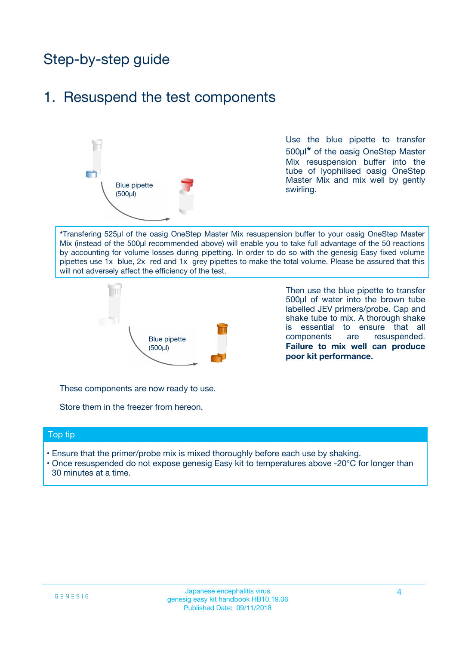## Step-by-step guide

### 1. Resuspend the test components



Use the blue pipette to transfer 500µ**l\*** of the oasig OneStep Master Mix resuspension buffer into the tube of lyophilised oasig OneStep Master Mix and mix well by gently swirling.

**\***Transfering 525µl of the oasig OneStep Master Mix resuspension buffer to your oasig OneStep Master Mix (instead of the 500µl recommended above) will enable you to take full advantage of the 50 reactions by accounting for volume losses during pipetting. In order to do so with the genesig Easy fixed volume pipettes use 1x blue, 2x red and 1x grey pipettes to make the total volume. Please be assured that this will not adversely affect the efficiency of the test.



Then use the blue pipette to transfer 500µl of water into the brown tube labelled JEV primers/probe. Cap and shake tube to mix. A thorough shake is essential to ensure that all components are resuspended. **Failure to mix well can produce poor kit performance.**

These components are now ready to use.

Store them in the freezer from hereon.

#### Top tip

- Ensure that the primer/probe mix is mixed thoroughly before each use by shaking.
- Once resuspended do not expose genesig Easy kit to temperatures above -20°C for longer than 30 minutes at a time.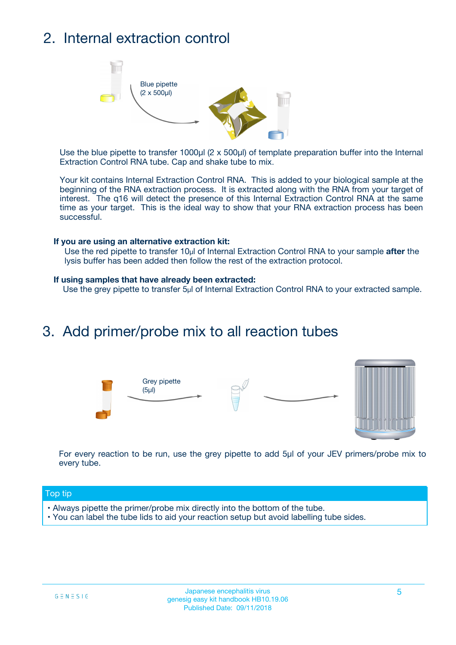## 2. Internal extraction control



Use the blue pipette to transfer 1000µl (2 x 500µl) of template preparation buffer into the Internal Extraction Control RNA tube. Cap and shake tube to mix.

Your kit contains Internal Extraction Control RNA. This is added to your biological sample at the beginning of the RNA extraction process. It is extracted along with the RNA from your target of interest. The q16 will detect the presence of this Internal Extraction Control RNA at the same time as your target. This is the ideal way to show that your RNA extraction process has been successful.

#### **If you are using an alternative extraction kit:**

Use the red pipette to transfer 10µl of Internal Extraction Control RNA to your sample **after** the lysis buffer has been added then follow the rest of the extraction protocol.

#### **If using samples that have already been extracted:**

Use the grey pipette to transfer 5µl of Internal Extraction Control RNA to your extracted sample.

### 3. Add primer/probe mix to all reaction tubes





For every reaction to be run, use the grey pipette to add 5µl of your JEV primers/probe mix to every tube.

#### Top tip

- Always pipette the primer/probe mix directly into the bottom of the tube.
- You can label the tube lids to aid your reaction setup but avoid labelling tube sides.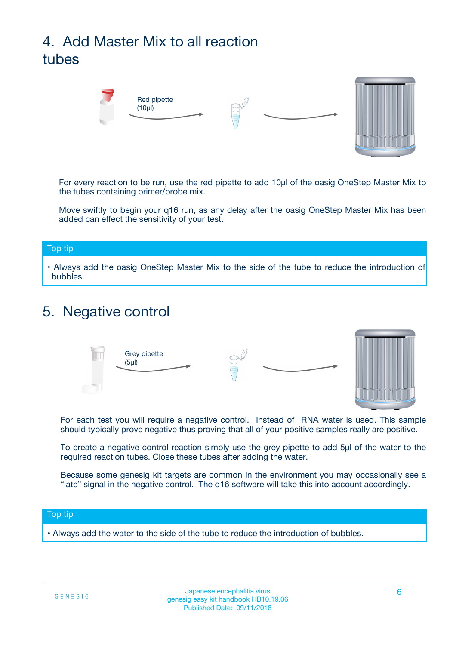## 4. Add Master Mix to all reaction tubes



For every reaction to be run, use the red pipette to add 10µl of the oasig OneStep Master Mix to the tubes containing primer/probe mix.

Move swiftly to begin your q16 run, as any delay after the oasig OneStep Master Mix has been added can effect the sensitivity of your test.

#### Top tip

**•** Always add the oasig OneStep Master Mix to the side of the tube to reduce the introduction of bubbles.

### 5. Negative control



For each test you will require a negative control. Instead of RNA water is used. This sample should typically prove negative thus proving that all of your positive samples really are positive.

To create a negative control reaction simply use the grey pipette to add 5µl of the water to the required reaction tubes. Close these tubes after adding the water.

Because some genesig kit targets are common in the environment you may occasionally see a "late" signal in the negative control. The q16 software will take this into account accordingly.

#### Top tip

**•** Always add the water to the side of the tube to reduce the introduction of bubbles.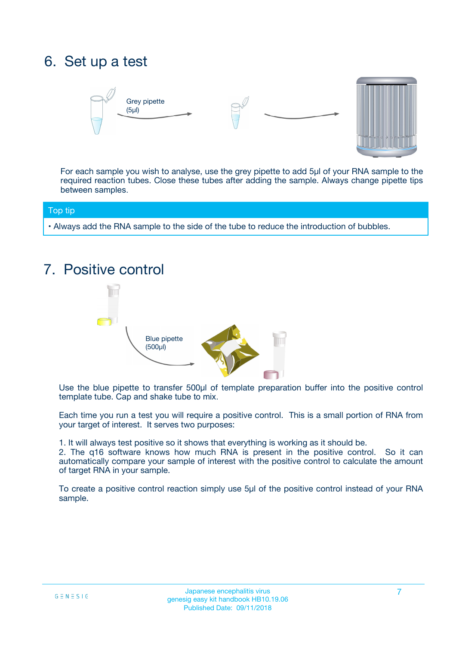## 6. Set up a test





For each sample you wish to analyse, use the grey pipette to add 5µl of your RNA sample to the required reaction tubes. Close these tubes after adding the sample. Always change pipette tips between samples.

#### Top tip

**•** Always add the RNA sample to the side of the tube to reduce the introduction of bubbles.

## 7. Positive control



Use the blue pipette to transfer 500µl of template preparation buffer into the positive control template tube. Cap and shake tube to mix.

Each time you run a test you will require a positive control. This is a small portion of RNA from your target of interest. It serves two purposes:

1. It will always test positive so it shows that everything is working as it should be.

2. The q16 software knows how much RNA is present in the positive control. So it can automatically compare your sample of interest with the positive control to calculate the amount of target RNA in your sample.

To create a positive control reaction simply use 5µl of the positive control instead of your RNA sample.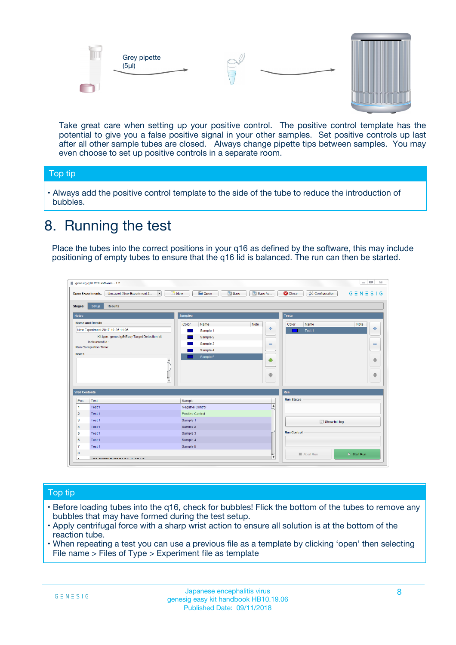



Take great care when setting up your positive control. The positive control template has the potential to give you a false positive signal in your other samples. Set positive controls up last after all other sample tubes are closed. Always change pipette tips between samples. You may even choose to set up positive controls in a separate room.

#### Top tip

**•** Always add the positive control template to the side of the tube to reduce the introduction of bubbles.

## 8. Running the test

Place the tubes into the correct positions in your q16 as defined by the software, this may include positioning of empty tubes to ensure that the q16 lid is balanced. The run can then be started.

|                                                | genesig q16 PCR software - 1.2<br><b>Open Experiments:</b><br>Unsaved (New Experiment 2<br>$\overline{\phantom{a}}$                                                                                  | <b>E</b> Open<br><b>Save</b><br>Save As<br>$\sqrt{2}$ New                                                                | $\Box$<br>$\Sigma\!3$<br>$G \equiv N \equiv S \mid G$<br><b>C</b> Close<br><b>&amp; Configuration</b> |
|------------------------------------------------|------------------------------------------------------------------------------------------------------------------------------------------------------------------------------------------------------|--------------------------------------------------------------------------------------------------------------------------|-------------------------------------------------------------------------------------------------------|
| <b>Stages:</b><br><b>Notes</b>                 | Setup<br><b>Results</b>                                                                                                                                                                              | <b>Samples</b>                                                                                                           | <b>Tests</b>                                                                                          |
| <b>Notes</b>                                   | <b>Name and Details</b><br>New Experiment 2017-10-26 11:06<br>Kit type: genesig® Easy Target Detection kit<br>Instrument Id.:<br>Run Completion Time:<br>$\blacktriangle$<br>$\overline{\mathbf{v}}$ | Color<br>Name<br>Note<br>على<br>Sample 1<br>Sample 2<br>Sample 3<br>$\equiv$<br>Sample 4<br>Sample 5<br>$\bigoplus$<br>÷ | Color<br>Name<br>Note<br>÷<br>Test 1<br>$\equiv$<br>41<br>⊕                                           |
| <b>Well Contents</b>                           |                                                                                                                                                                                                      |                                                                                                                          | Run                                                                                                   |
| Pos.<br>$\blacktriangleleft$<br>$\overline{2}$ | Test<br>Test 1<br>Test 1                                                                                                                                                                             | Sample<br>Negative Control<br>Positive Control                                                                           | <b>Run Status</b><br>$\blacktriangle$                                                                 |
| 3<br>$\overline{4}$                            | Test 1<br>Test 1                                                                                                                                                                                     | Sample 1<br>Sample 2                                                                                                     | Show full log                                                                                         |
| 5<br>6<br>$\overline{7}$                       | Test 1<br>Test <sub>1</sub><br>Test 1                                                                                                                                                                | Sample 3<br>Sample 4<br>Sample 5                                                                                         | <b>Run Control</b>                                                                                    |
| 8<br>∽                                         | <b>JOD FURTY TUDE TO BALAMOE UP.</b>                                                                                                                                                                 |                                                                                                                          | $\triangleright$ Start Run<br>■ Abort Run<br>$\boldsymbol{\mathrm{v}}$                                |

#### Top tip

- Before loading tubes into the q16, check for bubbles! Flick the bottom of the tubes to remove any bubbles that may have formed during the test setup.
- Apply centrifugal force with a sharp wrist action to ensure all solution is at the bottom of the reaction tube.
- When repeating a test you can use a previous file as a template by clicking 'open' then selecting File name > Files of Type > Experiment file as template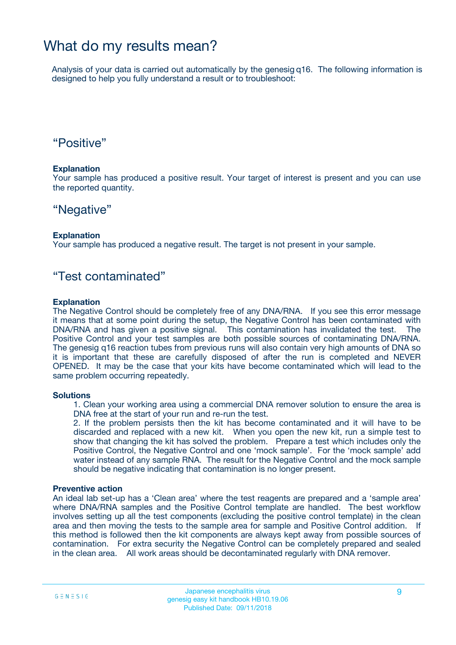### What do my results mean?

Analysis of your data is carried out automatically by the genesig q16. The following information is designed to help you fully understand a result or to troubleshoot:

### "Positive"

#### **Explanation**

Your sample has produced a positive result. Your target of interest is present and you can use the reported quantity.

### "Negative"

#### **Explanation**

Your sample has produced a negative result. The target is not present in your sample.

### "Test contaminated"

#### **Explanation**

The Negative Control should be completely free of any DNA/RNA. If you see this error message it means that at some point during the setup, the Negative Control has been contaminated with DNA/RNA and has given a positive signal. This contamination has invalidated the test. The Positive Control and your test samples are both possible sources of contaminating DNA/RNA. The genesig q16 reaction tubes from previous runs will also contain very high amounts of DNA so it is important that these are carefully disposed of after the run is completed and NEVER OPENED. It may be the case that your kits have become contaminated which will lead to the same problem occurring repeatedly.

#### **Solutions**

1. Clean your working area using a commercial DNA remover solution to ensure the area is DNA free at the start of your run and re-run the test.

2. If the problem persists then the kit has become contaminated and it will have to be discarded and replaced with a new kit. When you open the new kit, run a simple test to show that changing the kit has solved the problem. Prepare a test which includes only the Positive Control, the Negative Control and one 'mock sample'. For the 'mock sample' add water instead of any sample RNA. The result for the Negative Control and the mock sample should be negative indicating that contamination is no longer present.

#### **Preventive action**

An ideal lab set-up has a 'Clean area' where the test reagents are prepared and a 'sample area' where DNA/RNA samples and the Positive Control template are handled. The best workflow involves setting up all the test components (excluding the positive control template) in the clean area and then moving the tests to the sample area for sample and Positive Control addition. If this method is followed then the kit components are always kept away from possible sources of contamination. For extra security the Negative Control can be completely prepared and sealed in the clean area. All work areas should be decontaminated regularly with DNA remover.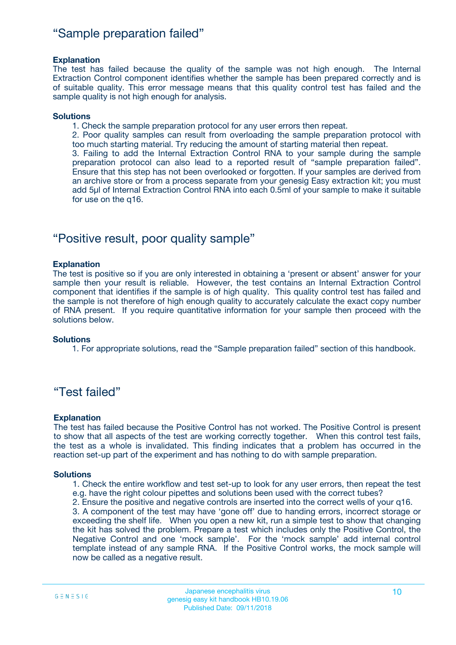### "Sample preparation failed"

#### **Explanation**

The test has failed because the quality of the sample was not high enough. The Internal Extraction Control component identifies whether the sample has been prepared correctly and is of suitable quality. This error message means that this quality control test has failed and the sample quality is not high enough for analysis.

#### **Solutions**

1. Check the sample preparation protocol for any user errors then repeat.

2. Poor quality samples can result from overloading the sample preparation protocol with too much starting material. Try reducing the amount of starting material then repeat.

3. Failing to add the Internal Extraction Control RNA to your sample during the sample preparation protocol can also lead to a reported result of "sample preparation failed". Ensure that this step has not been overlooked or forgotten. If your samples are derived from an archive store or from a process separate from your genesig Easy extraction kit; you must add 5µl of Internal Extraction Control RNA into each 0.5ml of your sample to make it suitable for use on the q16.

### "Positive result, poor quality sample"

#### **Explanation**

The test is positive so if you are only interested in obtaining a 'present or absent' answer for your sample then your result is reliable. However, the test contains an Internal Extraction Control component that identifies if the sample is of high quality. This quality control test has failed and the sample is not therefore of high enough quality to accurately calculate the exact copy number of RNA present. If you require quantitative information for your sample then proceed with the solutions below.

#### **Solutions**

1. For appropriate solutions, read the "Sample preparation failed" section of this handbook.

### "Test failed"

#### **Explanation**

The test has failed because the Positive Control has not worked. The Positive Control is present to show that all aspects of the test are working correctly together. When this control test fails, the test as a whole is invalidated. This finding indicates that a problem has occurred in the reaction set-up part of the experiment and has nothing to do with sample preparation.

#### **Solutions**

- 1. Check the entire workflow and test set-up to look for any user errors, then repeat the test e.g. have the right colour pipettes and solutions been used with the correct tubes?
- 2. Ensure the positive and negative controls are inserted into the correct wells of your q16.

3. A component of the test may have 'gone off' due to handing errors, incorrect storage or exceeding the shelf life. When you open a new kit, run a simple test to show that changing the kit has solved the problem. Prepare a test which includes only the Positive Control, the Negative Control and one 'mock sample'. For the 'mock sample' add internal control template instead of any sample RNA. If the Positive Control works, the mock sample will now be called as a negative result.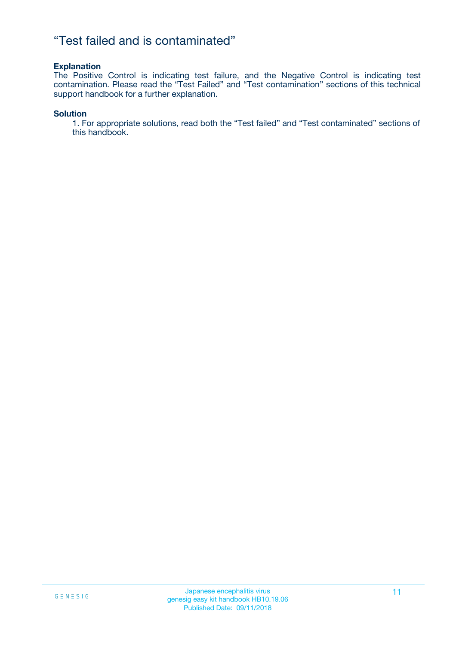### "Test failed and is contaminated"

#### **Explanation**

The Positive Control is indicating test failure, and the Negative Control is indicating test contamination. Please read the "Test Failed" and "Test contamination" sections of this technical support handbook for a further explanation.

#### **Solution**

1. For appropriate solutions, read both the "Test failed" and "Test contaminated" sections of this handbook.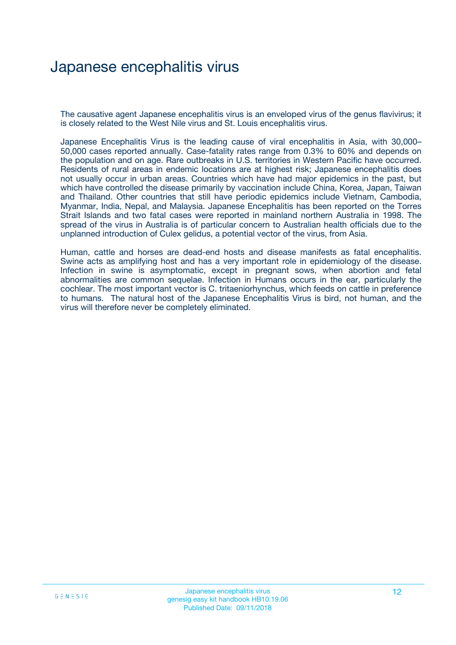## Japanese encephalitis virus

The causative agent Japanese encephalitis virus is an enveloped virus of the genus flavivirus; it is closely related to the West Nile virus and St. Louis encephalitis virus.

Japanese Encephalitis Virus is the leading cause of viral encephalitis in Asia, with 30,000– 50,000 cases reported annually. Case-fatality rates range from 0.3% to 60% and depends on the population and on age. Rare outbreaks in U.S. territories in Western Pacific have occurred. Residents of rural areas in endemic locations are at highest risk; Japanese encephalitis does not usually occur in urban areas. Countries which have had major epidemics in the past, but which have controlled the disease primarily by vaccination include China, Korea, Japan, Taiwan and Thailand. Other countries that still have periodic epidemics include Vietnam, Cambodia, Myanmar, India, Nepal, and Malaysia. Japanese Encephalitis has been reported on the Torres Strait Islands and two fatal cases were reported in mainland northern Australia in 1998. The spread of the virus in Australia is of particular concern to Australian health officials due to the unplanned introduction of Culex gelidus, a potential vector of the virus, from Asia.

Human, cattle and horses are dead-end hosts and disease manifests as fatal encephalitis. Swine acts as amplifying host and has a very important role in epidemiology of the disease. Infection in swine is asymptomatic, except in pregnant sows, when abortion and fetal abnormalities are common sequelae. Infection in Humans occurs in the ear, particularly the cochlear. The most important vector is C. tritaeniorhynchus, which feeds on cattle in preference to humans. The natural host of the Japanese Encephalitis Virus is bird, not human, and the virus will therefore never be completely eliminated.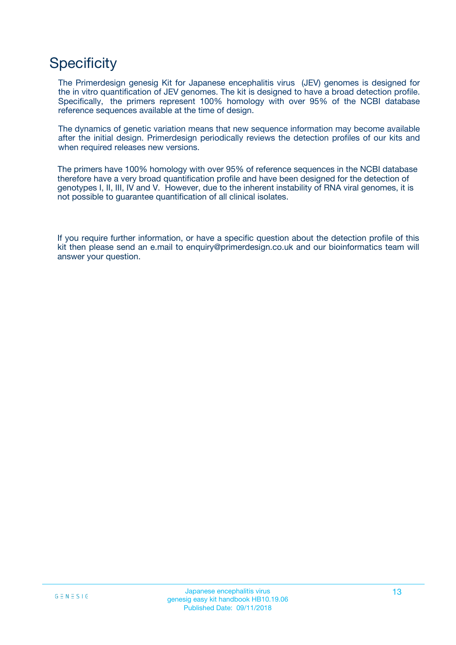## **Specificity**

The Primerdesign genesig Kit for Japanese encephalitis virus (JEV) genomes is designed for the in vitro quantification of JEV genomes. The kit is designed to have a broad detection profile. Specifically, the primers represent 100% homology with over 95% of the NCBI database reference sequences available at the time of design.

The dynamics of genetic variation means that new sequence information may become available after the initial design. Primerdesign periodically reviews the detection profiles of our kits and when required releases new versions.

The primers have 100% homology with over 95% of reference sequences in the NCBI database therefore have a very broad quantification profile and have been designed for the detection of genotypes I, II, III, IV and V. However, due to the inherent instability of RNA viral genomes, it is not possible to guarantee quantification of all clinical isolates.

If you require further information, or have a specific question about the detection profile of this kit then please send an e.mail to enquiry@primerdesign.co.uk and our bioinformatics team will answer your question.